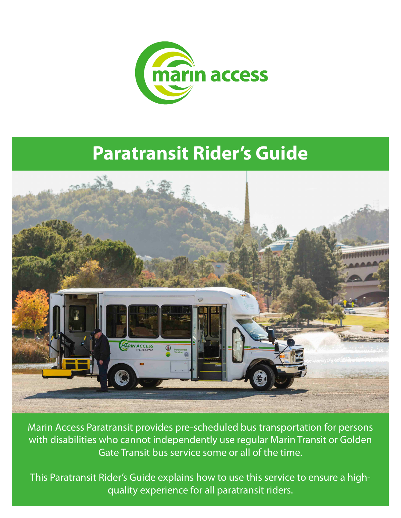

# **Paratransit Rider's Guide**



Marin Access Paratransit provides pre-scheduled bus transportation for persons with disabilities who cannot independently use regular Marin Transit or Golden Gate Transit bus service some or all of the time.

This Paratransit Rider's Guide explains how to use this service to ensure a highquality experience for all paratransit riders.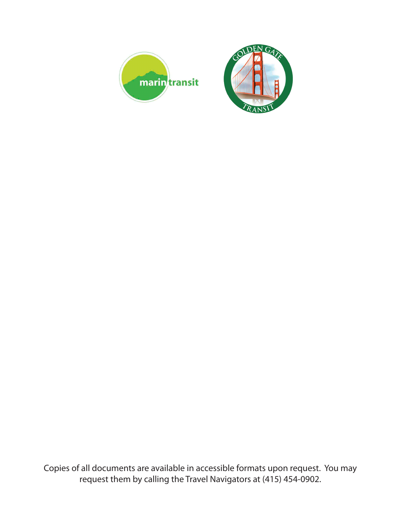

Copies of all documents are available in accessible formats upon request. You may request them by calling the Travel Navigators at (415) 454-0902.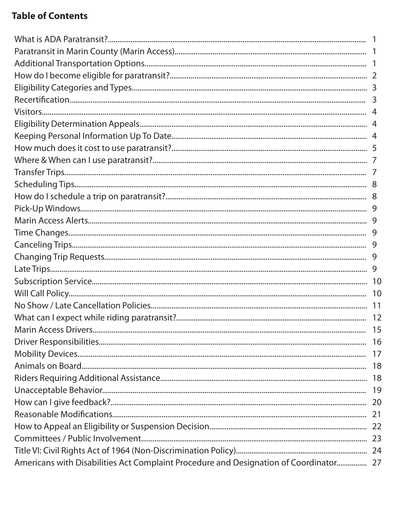# **Table of Contents**

| Americans with Disabilities Act Complaint Procedure and Designation of Coordinator 27 |  |
|---------------------------------------------------------------------------------------|--|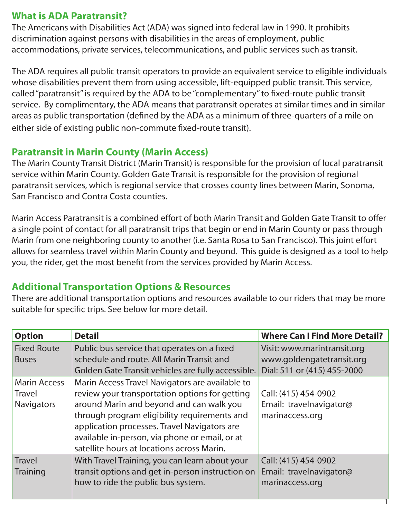# **What is ADA Paratransit?**

The Americans with Disabilities Act (ADA) was signed into federal law in 1990. It prohibits discrimination against persons with disabilities in the areas of employment, public accommodations, private services, telecommunications, and public services such as transit.

The ADA requires all public transit operators to provide an equivalent service to eligible individuals whose disabilities prevent them from using accessible, lift-equipped public transit. This service, called "paratransit" is required by the ADA to be "complementary" to fixed-route public transit service. By complimentary, the ADA means that paratransit operates at similar times and in similar areas as public transportation (defined by the ADA as a minimum of three-quarters of a mile on either side of existing public non-commute fixed-route transit).

# **Paratransit in Marin County (Marin Access)**

The Marin County Transit District (Marin Transit) is responsible for the provision of local paratransit service within Marin County. Golden Gate Transit is responsible for the provision of regional paratransit services, which is regional service that crosses county lines between Marin, Sonoma, San Francisco and Contra Costa counties.

Marin Access Paratransit is a combined effort of both Marin Transit and Golden Gate Transit to offer a single point of contact for all paratransit trips that begin or end in Marin County or pass through Marin from one neighboring county to another (i.e. Santa Rosa to San Francisco). This joint effort allows for seamless travel within Marin County and beyond. This guide is designed as a tool to help you, the rider, get the most benefit from the services provided by Marin Access.

# **Additional Transportation Options & Resources**

There are additional transportation options and resources available to our riders that may be more suitable for specific trips. See below for more detail.

| <b>Option</b>                                             | <b>Detail</b>                                                                                                                                                                                                                                                                                                                                 | <b>Where Can I Find More Detail?</b>                                                    |
|-----------------------------------------------------------|-----------------------------------------------------------------------------------------------------------------------------------------------------------------------------------------------------------------------------------------------------------------------------------------------------------------------------------------------|-----------------------------------------------------------------------------------------|
| <b>Fixed Route</b><br><b>Buses</b>                        | Public bus service that operates on a fixed<br>schedule and route. All Marin Transit and<br>Golden Gate Transit vehicles are fully accessible.                                                                                                                                                                                                | Visit: www.marintransit.org<br>www.goldengatetransit.org<br>Dial: 511 or (415) 455-2000 |
| <b>Marin Access</b><br><b>Travel</b><br><b>Navigators</b> | Marin Access Travel Navigators are available to<br>review your transportation options for getting<br>around Marin and beyond and can walk you<br>through program eligibility requirements and<br>application processes. Travel Navigators are<br>available in-person, via phone or email, or at<br>satellite hours at locations across Marin. | Call: (415) 454-0902<br>Email: travelnavigator@<br>marinaccess.org                      |
| <b>Travel</b><br><b>Training</b>                          | With Travel Training, you can learn about your<br>transit options and get in-person instruction on<br>how to ride the public bus system.                                                                                                                                                                                                      | Call: (415) 454-0902<br>Email: travelnavigator@<br>marinaccess.org                      |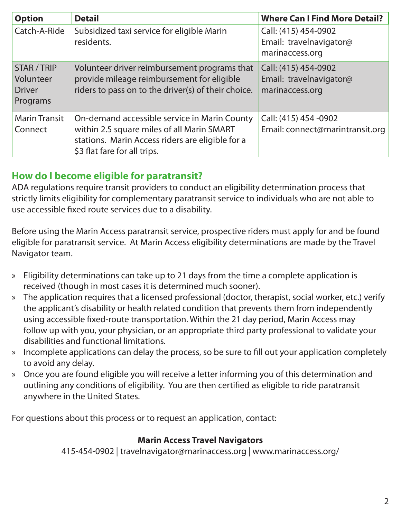| <b>Option</b>                                         | <b>Detail</b>                                                                                                                                                                  | <b>Where Can I Find More Detail?</b>                               |
|-------------------------------------------------------|--------------------------------------------------------------------------------------------------------------------------------------------------------------------------------|--------------------------------------------------------------------|
| Catch-A-Ride                                          | Subsidized taxi service for eligible Marin<br>residents.                                                                                                                       | Call: (415) 454-0902<br>Email: travelnavigator@<br>marinaccess.org |
| STAR / TRIP<br>Volunteer<br><b>Driver</b><br>Programs | Volunteer driver reimbursement programs that<br>provide mileage reimbursement for eligible<br>riders to pass on to the driver(s) of their choice.                              | Call: (415) 454-0902<br>Email: travelnavigator@<br>marinaccess.org |
| <b>Marin Transit</b><br>Connect                       | On-demand accessible service in Marin County<br>within 2.5 square miles of all Marin SMART<br>stations. Marin Access riders are eligible for a<br>\$3 flat fare for all trips. | Call: (415) 454 -0902<br>Email: connect@marintransit.org           |

# **How do I become eligible for paratransit?**

ADA regulations require transit providers to conduct an eligibility determination process that strictly limits eligibility for complementary paratransit service to individuals who are not able to use accessible fixed route services due to a disability.

Before using the Marin Access paratransit service, prospective riders must apply for and be found eligible for paratransit service. At Marin Access eligibility determinations are made by the Travel Navigator team.

- » Eligibility determinations can take up to 21 days from the time a complete application is received (though in most cases it is determined much sooner).
- » The application requires that a licensed professional (doctor, therapist, social worker, etc.) verify the applicant's disability or health related condition that prevents them from independently using accessible fixed-route transportation. Within the 21 day period, Marin Access may follow up with you, your physician, or an appropriate third party professional to validate your disabilities and functional limitations.
- » Incomplete applications can delay the process, so be sure to fill out your application completely to avoid any delay.
- » Once you are found eligible you will receive a letter informing you of this determination and outlining any conditions of eligibility. You are then certified as eligible to ride paratransit anywhere in the United States.

For questions about this process or to request an application, contact:

#### **Marin Access Travel Navigators**

415-454-0902 | travelnavigator@marinaccess.org | www.marinaccess.org/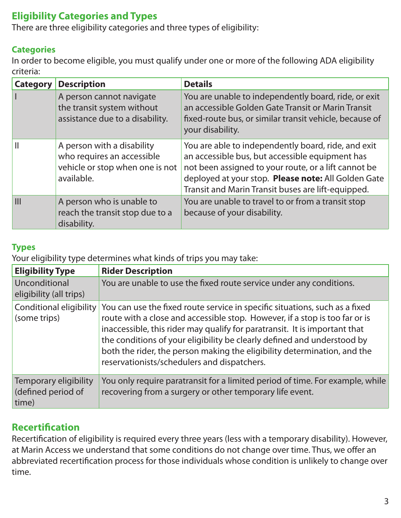# **Eligibility Categories and Types**

There are three eligibility categories and three types of eligibility:

#### **Categories**

In order to become eligible, you must qualify under one or more of the following ADA eligibility criteria:

| <b>Category</b> | <b>Description</b>                                                                                        | <b>Details</b>                                                                                                                                                                                                                                                              |
|-----------------|-----------------------------------------------------------------------------------------------------------|-----------------------------------------------------------------------------------------------------------------------------------------------------------------------------------------------------------------------------------------------------------------------------|
|                 | A person cannot navigate<br>the transit system without<br>assistance due to a disability.                 | You are unable to independently board, ride, or exit<br>an accessible Golden Gate Transit or Marin Transit<br>fixed-route bus, or similar transit vehicle, because of<br>your disability.                                                                                   |
|                 | A person with a disability<br>who requires an accessible<br>vehicle or stop when one is not<br>available. | You are able to independently board, ride, and exit<br>an accessible bus, but accessible equipment has<br>not been assigned to your route, or a lift cannot be<br>deployed at your stop. Please note: All Golden Gate<br>Transit and Marin Transit buses are lift-equipped. |
| III             | A person who is unable to<br>reach the transit stop due to a<br>disability.                               | You are unable to travel to or from a transit stop<br>because of your disability.                                                                                                                                                                                           |

#### **Types**

Your eligibility type determines what kinds of trips you may take:

| <b>Eligibility Type</b>                              | <b>Rider Description</b>                                                                                                                                                                                                                                                                                                                                                                                                                       |
|------------------------------------------------------|------------------------------------------------------------------------------------------------------------------------------------------------------------------------------------------------------------------------------------------------------------------------------------------------------------------------------------------------------------------------------------------------------------------------------------------------|
| Unconditional<br>eligibility (all trips)             | You are unable to use the fixed route service under any conditions.                                                                                                                                                                                                                                                                                                                                                                            |
| Conditional eligibility<br>(some trips)              | You can use the fixed route service in specific situations, such as a fixed<br>route with a close and accessible stop. However, if a stop is too far or is<br>inaccessible, this rider may qualify for paratransit. It is important that<br>the conditions of your eligibility be clearly defined and understood by<br>both the rider, the person making the eligibility determination, and the<br>reservationists/schedulers and dispatchers. |
| Temporary eligibility<br>(defined period of<br>time) | You only require paratransit for a limited period of time. For example, while<br>recovering from a surgery or other temporary life event.                                                                                                                                                                                                                                                                                                      |

# **Recertification**

Recertification of eligibility is required every three years (less with a temporary disability). However, at Marin Access we understand that some conditions do not change over time. Thus, we offer an abbreviated recertification process for those individuals whose condition is unlikely to change over time.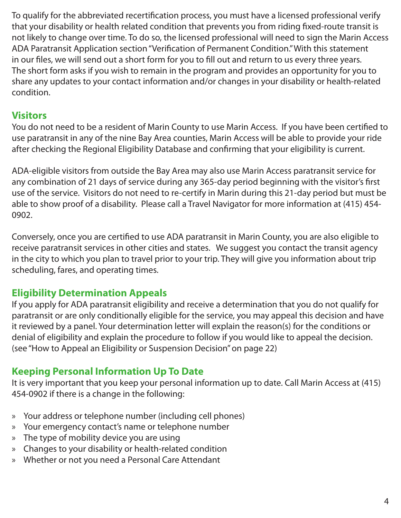To qualify for the abbreviated recertification process, you must have a licensed professional verify that your disability or health related condition that prevents you from riding fixed-route transit is not likely to change over time. To do so, the licensed professional will need to sign the Marin Access ADA Paratransit Application section "Verification of Permanent Condition." With this statement in our files, we will send out a short form for you to fill out and return to us every three years. The short form asks if you wish to remain in the program and provides an opportunity for you to share any updates to your contact information and/or changes in your disability or health-related condition.

# **Visitors**

You do not need to be a resident of Marin County to use Marin Access. If you have been certified to use paratransit in any of the nine Bay Area counties, Marin Access will be able to provide your ride after checking the Regional Eligibility Database and confirming that your eligibility is current.

ADA-eligible visitors from outside the Bay Area may also use Marin Access paratransit service for any combination of 21 days of service during any 365-day period beginning with the visitor's first use of the service. Visitors do not need to re-certify in Marin during this 21-day period but must be able to show proof of a disability. Please call a Travel Navigator for more information at (415) 454- 0902.

Conversely, once you are certified to use ADA paratransit in Marin County, you are also eligible to receive paratransit services in other cities and states. We suggest you contact the transit agency in the city to which you plan to travel prior to your trip. They will give you information about trip scheduling, fares, and operating times.

# **Eligibility Determination Appeals**

If you apply for ADA paratransit eligibility and receive a determination that you do not qualify for paratransit or are only conditionally eligible for the service, you may appeal this decision and have it reviewed by a panel. Your determination letter will explain the reason(s) for the conditions or denial of eligibility and explain the procedure to follow if you would like to appeal the decision. (see "How to Appeal an Eligibility or Suspension Decision" on page 22)

# **Keeping Personal Information Up To Date**

It is very important that you keep your personal information up to date. Call Marin Access at (415) 454-0902 if there is a change in the following:

- » Your address or telephone number (including cell phones)
- » Your emergency contact's name or telephone number
- » The type of mobility device you are using
- » Changes to your disability or health-related condition
- » Whether or not you need a Personal Care Attendant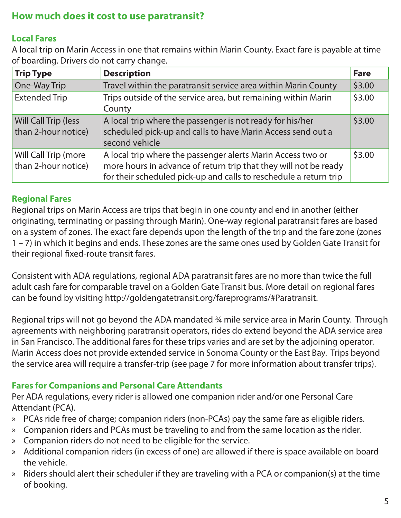# **How much does it cost to use paratransit?**

#### **Local Fares**

A local trip on Marin Access in one that remains within Marin County. Exact fare is payable at time of boarding. Drivers do not carry change.

| <b>Trip Type</b>                            | <b>Description</b>                                                                                                                                                                                   | <b>Fare</b> |
|---------------------------------------------|------------------------------------------------------------------------------------------------------------------------------------------------------------------------------------------------------|-------------|
| One-Way Trip                                | Travel within the paratransit service area within Marin County                                                                                                                                       | \$3.00      |
| <b>Extended Trip</b>                        | Trips outside of the service area, but remaining within Marin<br>County                                                                                                                              | \$3.00      |
| Will Call Trip (less<br>than 2-hour notice) | A local trip where the passenger is not ready for his/her<br>scheduled pick-up and calls to have Marin Access send out a<br>second vehicle                                                           | \$3.00      |
| Will Call Trip (more<br>than 2-hour notice) | A local trip where the passenger alerts Marin Access two or<br>more hours in advance of return trip that they will not be ready<br>for their scheduled pick-up and calls to reschedule a return trip | \$3.00      |

#### **Regional Fares**

Regional trips on Marin Access are trips that begin in one county and end in another (either originating, terminating or passing through Marin). One-way regional paratransit fares are based on a system of zones. The exact fare depends upon the length of the trip and the fare zone (zones 1 – 7) in which it begins and ends. These zones are the same ones used by Golden Gate Transit for their regional fixed-route transit fares.

Consistent with ADA regulations, regional ADA paratransit fares are no more than twice the full adult cash fare for comparable travel on a Golden Gate Transit bus. More detail on regional fares can be found by visiting http://goldengatetransit.org/fareprograms/#Paratransit.

Regional trips will not go beyond the ADA mandated 3/4 mile service area in Marin County. Through agreements with neighboring paratransit operators, rides do extend beyond the ADA service area in San Francisco. The additional fares for these trips varies and are set by the adjoining operator. Marin Access does not provide extended service in Sonoma County or the East Bay. Trips beyond the service area will require a transfer-trip (see page 7 for more information about transfer trips).

#### **Fares for Companions and Personal Care Attendants**

Per ADA regulations, every rider is allowed one companion rider and/or one Personal Care Attendant (PCA).

- » PCAs ride free of charge; companion riders (non-PCAs) pay the same fare as eligible riders.
- » Companion riders and PCAs must be traveling to and from the same location as the rider.
- » Companion riders do not need to be eligible for the service.
- » Additional companion riders (in excess of one) are allowed if there is space available on board the vehicle.
- » Riders should alert their scheduler if they are traveling with a PCA or companion(s) at the time of booking.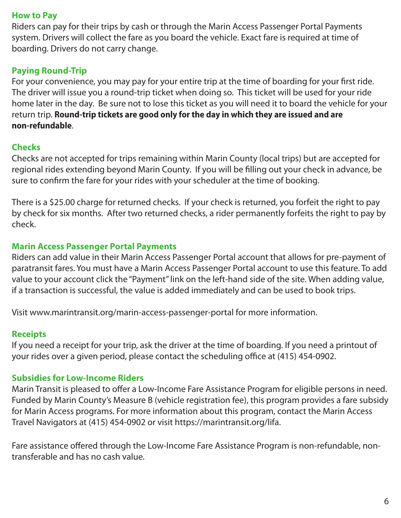#### **How to Pay**

Riders can pay for their trips by cash or through the Marin Access Passenger Portal Payments system. Drivers will collect the fare as you board the vehicle. Exact fare is required at time of boarding. Drivers do not carry change.

#### **Paying Round-Trip**

For your convenience, you may pay for your entire trip at the time of boarding for your first ride. The driver will issue you a round-trip ticket when doing so. This ticket will be used for your ride home later in the day. Be sure not to lose this ticket as you will need it to board the vehicle for your return trip. **Round-trip tickets are good only for the day in which they are issued and are non-refundable**.

#### **Checks**

Checks are not accepted for trips remaining within Marin County (local trips) but are accepted for regional rides extending beyond Marin County. If you will be filling out your check in advance, be sure to confirm the fare for your rides with your scheduler at the time of booking.

There is a \$25.00 charge for returned checks. If your check is returned, you forfeit the right to pay by check for six months. After two returned checks, a rider permanently forfeits the right to pay by check.

#### **Marin Access Passenger Portal Payments**

Riders can add value in their Marin Access Passenger Portal account that allows for pre-payment of paratransit fares. You must have a Marin Access Passenger Portal account to use this feature. To add value to your account click the "Payment" link on the left-hand side of the site. When adding value, if a transaction is successful, the value is added immediately and can be used to book trips.

Visit www.marintransit.org/marin-access-passenger-portal for more information.

#### **Receipts**

If you need a receipt for your trip, ask the driver at the time of boarding. If you need a printout of your rides over a given period, please contact the scheduling office at (415) 454-0902.

#### **Subsidies for Low-Income Riders**

Marin Transit is pleased to offer a Low-Income Fare Assistance Program for eligible persons in need. Funded by Marin County's Measure B (vehicle registration fee), this program provides a fare subsidy for Marin Access programs. For more information about this program, contact the Marin Access Travel Navigators at (415) 454-0902 or visit https://marintransit.org/lifa.

Fare assistance offered through the Low-Income Fare Assistance Program is non-refundable, nontransferable and has no cash value.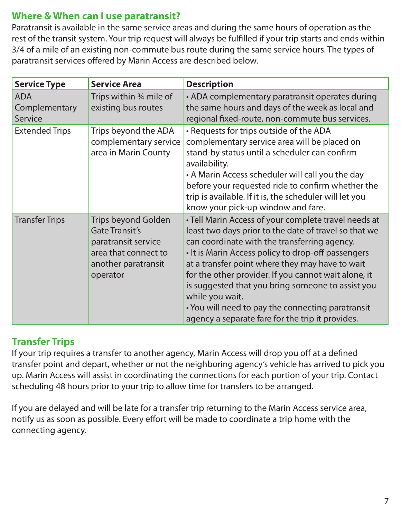# **Where & When can I use paratransit?**

Paratransit is available in the same service areas and during the same hours of operation as the rest of the transit system. Your trip request will always be fulfilled if your trip starts and ends within 3/4 of a mile of an existing non-commute bus route during the same service hours. The types of paratransit services offered by Marin Access are described below.

| <b>Service Type</b>                    | <b>Service Area</b>                                                                                                                   | <b>Description</b>                                                                                                                                                                                                                                                                                                                                                                                                                                                                                              |
|----------------------------------------|---------------------------------------------------------------------------------------------------------------------------------------|-----------------------------------------------------------------------------------------------------------------------------------------------------------------------------------------------------------------------------------------------------------------------------------------------------------------------------------------------------------------------------------------------------------------------------------------------------------------------------------------------------------------|
| <b>ADA</b><br>Complementary<br>Service | Trips within $\frac{3}{4}$ mile of<br>existing bus routes                                                                             | • ADA complementary paratransit operates during<br>the same hours and days of the week as local and<br>regional fixed-route, non-commute bus services.                                                                                                                                                                                                                                                                                                                                                          |
| <b>Extended Trips</b>                  | Trips beyond the ADA<br>complementary service<br>area in Marin County                                                                 | • Requests for trips outside of the ADA<br>complementary service area will be placed on<br>stand-by status until a scheduler can confirm<br>availability.<br>• A Marin Access scheduler will call you the day<br>before your requested ride to confirm whether the<br>trip is available. If it is, the scheduler will let you<br>know your pick-up window and fare.                                                                                                                                             |
| <b>Transfer Trips</b>                  | <b>Trips beyond Golden</b><br><b>Gate Transit's</b><br>paratransit service<br>area that connect to<br>another paratransit<br>operator | • Tell Marin Access of your complete travel needs at<br>least two days prior to the date of travel so that we<br>can coordinate with the transferring agency.<br>• It is Marin Access policy to drop-off passengers<br>at a transfer point where they may have to wait<br>for the other provider. If you cannot wait alone, it<br>is suggested that you bring someone to assist you<br>while you wait.<br>• You will need to pay the connecting paratransit<br>agency a separate fare for the trip it provides. |

# **Transfer Trips**

If your trip requires a transfer to another agency, Marin Access will drop you off at a defined transfer point and depart, whether or not the neighboring agency's vehicle has arrived to pick you up. Marin Access will assist in coordinating the connections for each portion of your trip. Contact scheduling 48 hours prior to your trip to allow time for transfers to be arranged.

If you are delayed and will be late for a transfer trip returning to the Marin Access service area, notify us as soon as possible. Every effort will be made to coordinate a trip home with the connecting agency.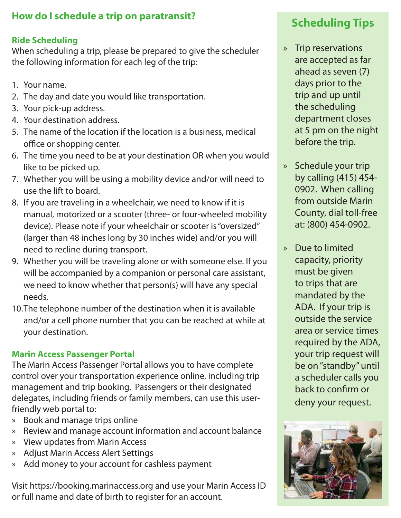# **How do I schedule a trip on paratransit?**

#### **Ride Scheduling**

When scheduling a trip, please be prepared to give the scheduler the following information for each leg of the trip:

- 1. Your name.
- 2. The day and date you would like transportation.
- 3. Your pick-up address.
- 4. Your destination address.
- 5. The name of the location if the location is a business, medical office or shopping center.
- 6. The time you need to be at your destination OR when you would like to be picked up.
- 7. Whether you will be using a mobility device and/or will need to use the lift to board.
- 8. If you are traveling in a wheelchair, we need to know if it is manual, motorized or a scooter (three- or four-wheeled mobility device). Please note if your wheelchair or scooter is "oversized" (larger than 48 inches long by 30 inches wide) and/or you will need to recline during transport.
- 9. Whether you will be traveling alone or with someone else. If you will be accompanied by a companion or personal care assistant, we need to know whether that person(s) will have any special needs.
- 10.The telephone number of the destination when it is available and/or a cell phone number that you can be reached at while at your destination.

#### **Marin Access Passenger Portal**

The Marin Access Passenger Portal allows you to have complete control over your transportation experience online, including trip management and trip booking. Passengers or their designated delegates, including friends or family members, can use this userfriendly web portal to:

- » Book and manage trips online
- » Review and manage account information and account balance
- » View updates from Marin Access
- » Adjust Marin Access Alert Settings
- » Add money to your account for cashless payment

Visit https://booking.marinaccess.org and use your Marin Access ID or full name and date of birth to register for an account.

# **Scheduling Tips**

- » Trip reservations are accepted as far ahead as seven (7) days prior to the trip and up until the scheduling department closes at 5 pm on the night before the trip.
- » Schedule your trip by calling (415) 454- 0902. When calling from outside Marin County, dial toll-free at: (800) 454-0902.
- » Due to limited capacity, priority must be given to trips that are mandated by the ADA. If your trip is outside the service area or service times required by the ADA, your trip request will be on "standby" until a scheduler calls you back to confirm or deny your request.

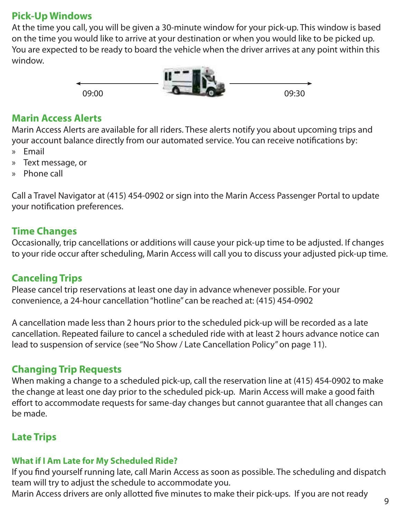# **Pick-Up Windows**

At the time you call, you will be given a 30-minute window for your pick-up. This window is based on the time you would like to arrive at your destination or when you would like to be picked up. You are expected to be ready to board the vehicle when the driver arrives at any point within this window.



#### **Marin Access Alerts**

Marin Access Alerts are available for all riders. These alerts notify you about upcoming trips and your account balance directly from our automated service. You can receive notifications by: » Email

- » Text message, or
- » Phone call

Call a Travel Navigator at (415) 454-0902 or sign into the Marin Access Passenger Portal to update your notification preferences.

# **Time Changes**

Occasionally, trip cancellations or additions will cause your pick-up time to be adjusted. If changes to your ride occur after scheduling, Marin Access will call you to discuss your adjusted pick-up time.

# **Canceling Trips**

Please cancel trip reservations at least one day in advance whenever possible. For your convenience, a 24-hour cancellation "hotline" can be reached at: (415) 454-0902

A cancellation made less than 2 hours prior to the scheduled pick-up will be recorded as a late cancellation. Repeated failure to cancel a scheduled ride with at least 2 hours advance notice can lead to suspension of service (see "No Show / Late Cancellation Policy" on page 11).

# **Changing Trip Requests**

When making a change to a scheduled pick-up, call the reservation line at (415) 454-0902 to make the change at least one day prior to the scheduled pick-up. Marin Access will make a good faith effort to accommodate requests for same-day changes but cannot guarantee that all changes can be made.

# **Late Trips**

# **What if I Am Late for My Scheduled Ride?**

If you find yourself running late, call Marin Access as soon as possible. The scheduling and dispatch team will try to adjust the schedule to accommodate you.

Marin Access drivers are only allotted five minutes to make their pick-ups. If you are not ready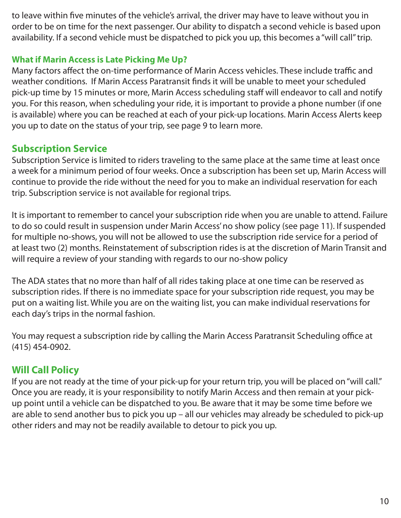to leave within five minutes of the vehicle's arrival, the driver may have to leave without you in order to be on time for the next passenger. Our ability to dispatch a second vehicle is based upon availability. If a second vehicle must be dispatched to pick you up, this becomes a "will call" trip.

#### **What if Marin Access is Late Picking Me Up?**

Many factors affect the on-time performance of Marin Access vehicles. These include traffic and weather conditions. If Marin Access Paratransit finds it will be unable to meet your scheduled pick-up time by 15 minutes or more, Marin Access scheduling staff will endeavor to call and notify you. For this reason, when scheduling your ride, it is important to provide a phone number (if one is available) where you can be reached at each of your pick-up locations. Marin Access Alerts keep you up to date on the status of your trip, see page 9 to learn more.

# **Subscription Service**

Subscription Service is limited to riders traveling to the same place at the same time at least once a week for a minimum period of four weeks. Once a subscription has been set up, Marin Access will continue to provide the ride without the need for you to make an individual reservation for each trip. Subscription service is not available for regional trips.

It is important to remember to cancel your subscription ride when you are unable to attend. Failure to do so could result in suspension under Marin Access' no show policy (see page 11). If suspended for multiple no-shows, you will not be allowed to use the subscription ride service for a period of at least two (2) months. Reinstatement of subscription rides is at the discretion of Marin Transit and will require a review of your standing with regards to our no-show policy

The ADA states that no more than half of all rides taking place at one time can be reserved as subscription rides. If there is no immediate space for your subscription ride request, you may be put on a waiting list. While you are on the waiting list, you can make individual reservations for each day's trips in the normal fashion.

You may request a subscription ride by calling the Marin Access Paratransit Scheduling office at (415) 454-0902.

# **Will Call Policy**

If you are not ready at the time of your pick-up for your return trip, you will be placed on "will call." Once you are ready, it is your responsibility to notify Marin Access and then remain at your pickup point until a vehicle can be dispatched to you. Be aware that it may be some time before we are able to send another bus to pick you up – all our vehicles may already be scheduled to pick-up other riders and may not be readily available to detour to pick you up.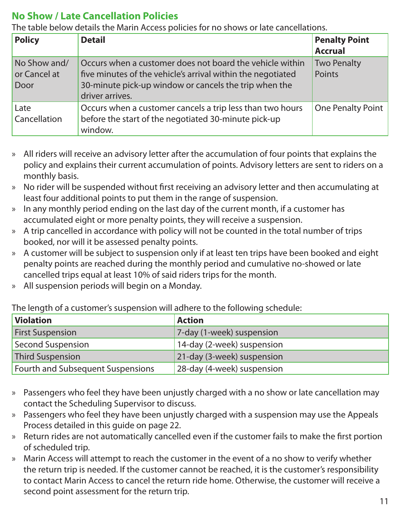# **No Show / Late Cancellation Policies**

The table below details the Marin Access policies for no shows or late cancellations.

| <b>Policy</b>                        | <b>Detail</b>                                                                                                                                                                                       | <b>Penalty Point</b><br><b>Accrual</b> |
|--------------------------------------|-----------------------------------------------------------------------------------------------------------------------------------------------------------------------------------------------------|----------------------------------------|
| No Show and/<br>or Cancel at<br>Door | Occurs when a customer does not board the vehicle within<br>five minutes of the vehicle's arrival within the negotiated<br>30-minute pick-up window or cancels the trip when the<br>driver arrives. | <b>Two Penalty</b><br>Points           |
| Late<br>Cancellation                 | Occurs when a customer cancels a trip less than two hours<br>before the start of the negotiated 30-minute pick-up<br>window.                                                                        | <b>One Penalty Point</b>               |

- » All riders will receive an advisory letter after the accumulation of four points that explains the policy and explains their current accumulation of points. Advisory letters are sent to riders on a monthly basis.
- » No rider will be suspended without first receiving an advisory letter and then accumulating at least four additional points to put them in the range of suspension.
- » In any monthly period ending on the last day of the current month, if a customer has accumulated eight or more penalty points, they will receive a suspension.
- » A trip cancelled in accordance with policy will not be counted in the total number of trips booked, nor will it be assessed penalty points.
- » A customer will be subject to suspension only if at least ten trips have been booked and eight penalty points are reached during the monthly period and cumulative no-showed or late cancelled trips equal at least 10% of said riders trips for the month.
- » All suspension periods will begin on a Monday.

The length of a customer's suspension will adhere to the following schedule:

| <b>Violation</b>                  | <b>Action</b>              |
|-----------------------------------|----------------------------|
| <b>First Suspension</b>           | 7-day (1-week) suspension  |
| <b>Second Suspension</b>          | 14-day (2-week) suspension |
| <b>Third Suspension</b>           | 21-day (3-week) suspension |
| Fourth and Subsequent Suspensions | 28-day (4-week) suspension |

- » Passengers who feel they have been unjustly charged with a no show or late cancellation may contact the Scheduling Supervisor to discuss.
- » Passengers who feel they have been unjustly charged with a suspension may use the Appeals Process detailed in this guide on page 22.
- » Return rides are not automatically cancelled even if the customer fails to make the first portion of scheduled trip.
- » Marin Access will attempt to reach the customer in the event of a no show to verify whether the return trip is needed. If the customer cannot be reached, it is the customer's responsibility to contact Marin Access to cancel the return ride home. Otherwise, the customer will receive a second point assessment for the return trip.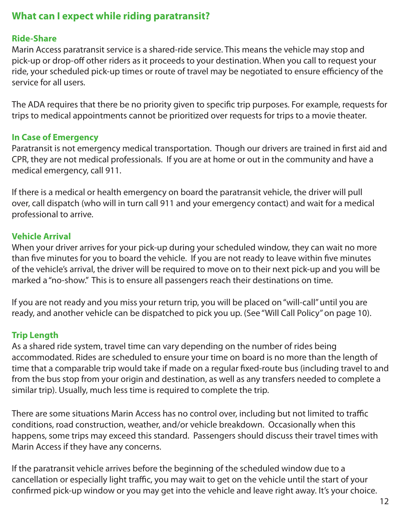# **What can I expect while riding paratransit?**

#### **Ride-Share**

Marin Access paratransit service is a shared-ride service. This means the vehicle may stop and pick-up or drop-off other riders as it proceeds to your destination. When you call to request your ride, your scheduled pick-up times or route of travel may be negotiated to ensure efficiency of the service for all users.

The ADA requires that there be no priority given to specific trip purposes. For example, requests for trips to medical appointments cannot be prioritized over requests for trips to a movie theater.

#### **In Case of Emergency**

Paratransit is not emergency medical transportation. Though our drivers are trained in first aid and CPR, they are not medical professionals. If you are at home or out in the community and have a medical emergency, call 911.

If there is a medical or health emergency on board the paratransit vehicle, the driver will pull over, call dispatch (who will in turn call 911 and your emergency contact) and wait for a medical professional to arrive.

#### **Vehicle Arrival**

When your driver arrives for your pick-up during your scheduled window, they can wait no more than five minutes for you to board the vehicle. If you are not ready to leave within five minutes of the vehicle's arrival, the driver will be required to move on to their next pick-up and you will be marked a "no-show." This is to ensure all passengers reach their destinations on time.

If you are not ready and you miss your return trip, you will be placed on "will-call" until you are ready, and another vehicle can be dispatched to pick you up. (See "Will Call Policy" on page 10).

#### **Trip Length**

As a shared ride system, travel time can vary depending on the number of rides being accommodated. Rides are scheduled to ensure your time on board is no more than the length of time that a comparable trip would take if made on a regular fixed-route bus (including travel to and from the bus stop from your origin and destination, as well as any transfers needed to complete a similar trip). Usually, much less time is required to complete the trip.

There are some situations Marin Access has no control over, including but not limited to traffic conditions, road construction, weather, and/or vehicle breakdown. Occasionally when this happens, some trips may exceed this standard. Passengers should discuss their travel times with Marin Access if they have any concerns.

If the paratransit vehicle arrives before the beginning of the scheduled window due to a cancellation or especially light traffic, you may wait to get on the vehicle until the start of your confirmed pick-up window or you may get into the vehicle and leave right away. It's your choice.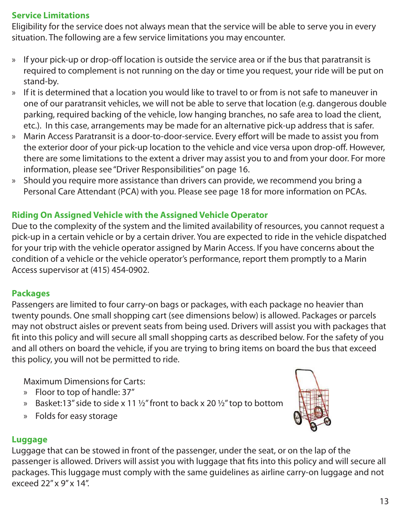#### **Service Limitations**

Eligibility for the service does not always mean that the service will be able to serve you in every situation. The following are a few service limitations you may encounter.

- » If your pick-up or drop-off location is outside the service area or if the bus that paratransit is required to complement is not running on the day or time you request, your ride will be put on stand-by.
- » If it is determined that a location you would like to travel to or from is not safe to maneuver in one of our paratransit vehicles, we will not be able to serve that location (e.g. dangerous double parking, required backing of the vehicle, low hanging branches, no safe area to load the client, etc.). In this case, arrangements may be made for an alternative pick-up address that is safer.
- » Marin Access Paratransit is a door-to-door-service. Every effort will be made to assist you from the exterior door of your pick-up location to the vehicle and vice versa upon drop-off. However, there are some limitations to the extent a driver may assist you to and from your door. For more information, please see "Driver Responsibilities" on page 16.
- » Should you require more assistance than drivers can provide, we recommend you bring a Personal Care Attendant (PCA) with you. Please see page 18 for more information on PCAs.

#### **Riding On Assigned Vehicle with the Assigned Vehicle Operator**

Due to the complexity of the system and the limited availability of resources, you cannot request a pick-up in a certain vehicle or by a certain driver. You are expected to ride in the vehicle dispatched for your trip with the vehicle operator assigned by Marin Access. If you have concerns about the condition of a vehicle or the vehicle operator's performance, report them promptly to a Marin Access supervisor at (415) 454-0902.

#### **Packages**

Passengers are limited to four carry-on bags or packages, with each package no heavier than twenty pounds. One small shopping cart (see dimensions below) is allowed. Packages or parcels may not obstruct aisles or prevent seats from being used. Drivers will assist you with packages that fit into this policy and will secure all small shopping carts as described below. For the safety of you and all others on board the vehicle, if you are trying to bring items on board the bus that exceed this policy, you will not be permitted to ride.

Maximum Dimensions for Carts:

- » Floor to top of handle: 37"
- » Basket:13" side to side x 11  $\frac{1}{2}$ " front to back x 20  $\frac{1}{2}$ " top to bottom
- » Folds for easy storage



#### **Luggage**

Luggage that can be stowed in front of the passenger, under the seat, or on the lap of the passenger is allowed. Drivers will assist you with luggage that fits into this policy and will secure all packages. This luggage must comply with the same guidelines as airline carry-on luggage and not exceed 22" x 9" x 14".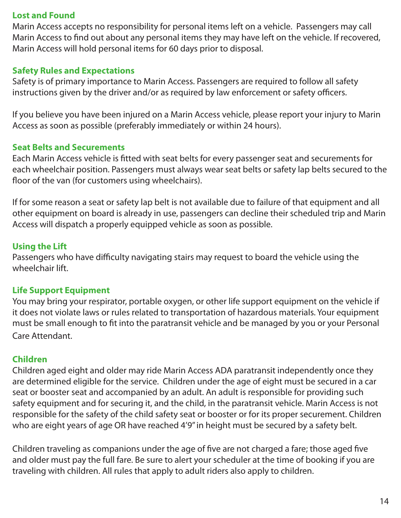#### **Lost and Found**

Marin Access accepts no responsibility for personal items left on a vehicle. Passengers may call Marin Access to find out about any personal items they may have left on the vehicle. If recovered, Marin Access will hold personal items for 60 days prior to disposal.

#### **Safety Rules and Expectations**

Safety is of primary importance to Marin Access. Passengers are required to follow all safety instructions given by the driver and/or as required by law enforcement or safety officers.

If you believe you have been injured on a Marin Access vehicle, please report your injury to Marin Access as soon as possible (preferably immediately or within 24 hours).

#### **Seat Belts and Securements**

Each Marin Access vehicle is fitted with seat belts for every passenger seat and securements for each wheelchair position. Passengers must always wear seat belts or safety lap belts secured to the floor of the van (for customers using wheelchairs).

If for some reason a seat or safety lap belt is not available due to failure of that equipment and all other equipment on board is already in use, passengers can decline their scheduled trip and Marin Access will dispatch a properly equipped vehicle as soon as possible.

#### **Using the Lift**

Passengers who have difficulty navigating stairs may request to board the vehicle using the wheelchair lift.

#### **Life Support Equipment**

You may bring your respirator, portable oxygen, or other life support equipment on the vehicle if it does not violate laws or rules related to transportation of hazardous materials. Your equipment must be small enough to fit into the paratransit vehicle and be managed by you or your Personal Care Attendant.

#### **Children**

Children aged eight and older may ride Marin Access ADA paratransit independently once they are determined eligible for the service. Children under the age of eight must be secured in a car seat or booster seat and accompanied by an adult. An adult is responsible for providing such safety equipment and for securing it, and the child, in the paratransit vehicle. Marin Access is not responsible for the safety of the child safety seat or booster or for its proper securement. Children who are eight years of age OR have reached 4'9" in height must be secured by a safety belt.

Children traveling as companions under the age of five are not charged a fare; those aged five and older must pay the full fare. Be sure to alert your scheduler at the time of booking if you are traveling with children. All rules that apply to adult riders also apply to children.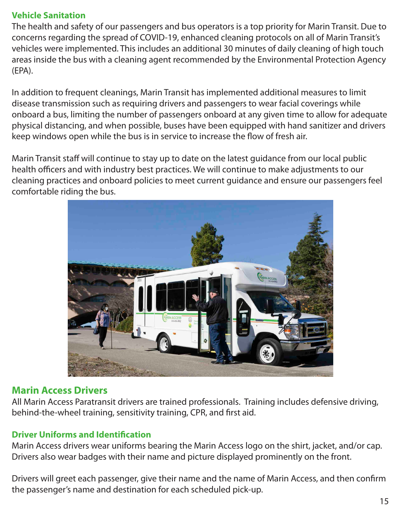#### **Vehicle Sanitation**

The health and safety of our passengers and bus operators is a top priority for Marin Transit. Due to concerns regarding the spread of COVID-19, enhanced cleaning protocols on all of Marin Transit's vehicles were implemented. This includes an additional 30 minutes of daily cleaning of high touch areas inside the bus with a cleaning agent recommended by the Environmental Protection Agency (EPA).

In addition to frequent cleanings, Marin Transit has implemented additional measures to limit disease transmission such as requiring drivers and passengers to wear facial coverings while onboard a bus, limiting the number of passengers onboard at any given time to allow for adequate physical distancing, and when possible, buses have been equipped with hand sanitizer and drivers keep windows open while the bus is in service to increase the flow of fresh air.

Marin Transit staff will continue to stay up to date on the latest guidance from our local public health officers and with industry best practices. We will continue to make adjustments to our cleaning practices and onboard policies to meet current guidance and ensure our passengers feel comfortable riding the bus.



# **Marin Access Drivers**

All Marin Access Paratransit drivers are trained professionals. Training includes defensive driving, behind-the-wheel training, sensitivity training, CPR, and first aid.

#### **Driver Uniforms and Identification**

Marin Access drivers wear uniforms bearing the Marin Access logo on the shirt, jacket, and/or cap. Drivers also wear badges with their name and picture displayed prominently on the front.

Drivers will greet each passenger, give their name and the name of Marin Access, and then confirm the passenger's name and destination for each scheduled pick-up.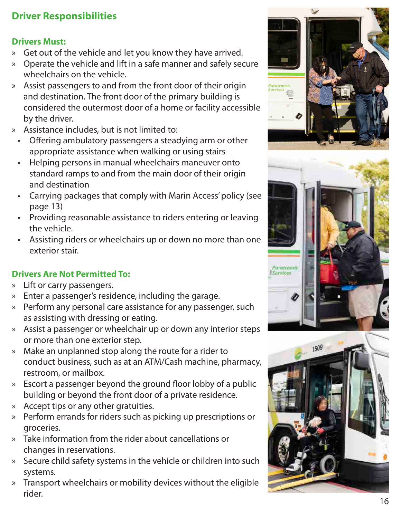# **Driver Responsibilities**

#### **Drivers Must:**

- » Get out of the vehicle and let you know they have arrived. » Operate the vehicle and lift in a safe manner and safely secure
- wheelchairs on the vehicle.
- » Assist passengers to and from the front door of their origin and destination. The front door of the primary building is considered the outermost door of a home or facility accessible by the driver.
- » Assistance includes, but is not limited to:
	- Offering ambulatory passengers a steadying arm or other appropriate assistance when walking or using stairs
	- Helping persons in manual wheelchairs maneuver onto standard ramps to and from the main door of their origin and destination
	- Carrying packages that comply with Marin Access' policy (see page 13)
	- Providing reasonable assistance to riders entering or leaving the vehicle.
	- Assisting riders or wheelchairs up or down no more than one exterior stair.

# **Drivers Are Not Permitted To:**

- » Lift or carry passengers.
- » Enter a passenger's residence, including the garage.
- » Perform any personal care assistance for any passenger, such as assisting with dressing or eating.
- » Assist a passenger or wheelchair up or down any interior steps or more than one exterior step.
- » Make an unplanned stop along the route for a rider to conduct business, such as at an ATM/Cash machine, pharmacy, restroom, or mailbox.
- » Escort a passenger beyond the ground floor lobby of a public building or beyond the front door of a private residence.
- » Accept tips or any other gratuities.
- » Perform errands for riders such as picking up prescriptions or groceries.
- » Take information from the rider about cancellations or changes in reservations.
- » Secure child safety systems in the vehicle or children into such systems.
- » Transport wheelchairs or mobility devices without the eligible rider.





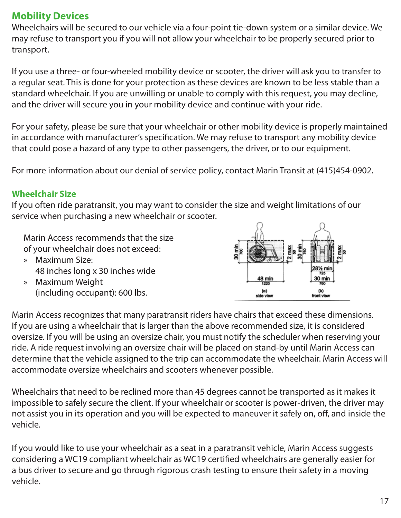# **Mobility Devices**

Wheelchairs will be secured to our vehicle via a four-point tie-down system or a similar device. We may refuse to transport you if you will not allow your wheelchair to be properly secured prior to transport.

If you use a three- or four-wheeled mobility device or scooter, the driver will ask you to transfer to a regular seat. This is done for your protection as these devices are known to be less stable than a standard wheelchair. If you are unwilling or unable to comply with this request, you may decline, and the driver will secure you in your mobility device and continue with your ride.

For your safety, please be sure that your wheelchair or other mobility device is properly maintained in accordance with manufacturer's specification. We may refuse to transport any mobility device that could pose a hazard of any type to other passengers, the driver, or to our equipment.

For more information about our denial of service policy, contact Marin Transit at (415)454-0902.

#### **Wheelchair Size**

If you often ride paratransit, you may want to consider the size and weight limitations of our service when purchasing a new wheelchair or scooter.

Marin Access recommends that the size of your wheelchair does not exceed:

- » Maximum Size: 48 inches long x 30 inches wide
- » Maximum Weight (including occupant): 600 lbs.



Marin Access recognizes that many paratransit riders have chairs that exceed these dimensions. If you are using a wheelchair that is larger than the above recommended size, it is considered oversize. If you will be using an oversize chair, you must notify the scheduler when reserving your ride. A ride request involving an oversize chair will be placed on stand-by until Marin Access can determine that the vehicle assigned to the trip can accommodate the wheelchair. Marin Access will accommodate oversize wheelchairs and scooters whenever possible.

Wheelchairs that need to be reclined more than 45 degrees cannot be transported as it makes it impossible to safely secure the client. If your wheelchair or scooter is power-driven, the driver may not assist you in its operation and you will be expected to maneuver it safely on, off, and inside the vehicle.

If you would like to use your wheelchair as a seat in a paratransit vehicle, Marin Access suggests considering a WC19 compliant wheelchair as WC19 certified wheelchairs are generally easier for a bus driver to secure and go through rigorous crash testing to ensure their safety in a moving vehicle.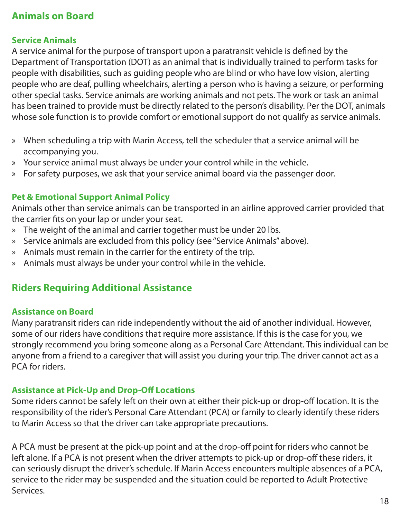# **Animals on Board**

#### **Service Animals**

A service animal for the purpose of transport upon a paratransit vehicle is defined by the Department of Transportation (DOT) as an animal that is individually trained to perform tasks for people with disabilities, such as guiding people who are blind or who have low vision, alerting people who are deaf, pulling wheelchairs, alerting a person who is having a seizure, or performing other special tasks. Service animals are working animals and not pets. The work or task an animal has been trained to provide must be directly related to the person's disability. Per the DOT, animals whose sole function is to provide comfort or emotional support do not qualify as service animals.

- » When scheduling a trip with Marin Access, tell the scheduler that a service animal will be accompanying you.
- » Your service animal must always be under your control while in the vehicle.
- » For safety purposes, we ask that your service animal board via the passenger door.

#### **Pet & Emotional Support Animal Policy**

Animals other than service animals can be transported in an airline approved carrier provided that the carrier fits on your lap or under your seat.

- » The weight of the animal and carrier together must be under 20 lbs.
- » Service animals are excluded from this policy (see "Service Animals" above).
- » Animals must remain in the carrier for the entirety of the trip.
- » Animals must always be under your control while in the vehicle.

# **Riders Requiring Additional Assistance**

#### **Assistance on Board**

Many paratransit riders can ride independently without the aid of another individual. However, some of our riders have conditions that require more assistance. If this is the case for you, we strongly recommend you bring someone along as a Personal Care Attendant. This individual can be anyone from a friend to a caregiver that will assist you during your trip. The driver cannot act as a PCA for riders.

#### **Assistance at Pick-Up and Drop-Off Locations**

Some riders cannot be safely left on their own at either their pick-up or drop-off location. It is the responsibility of the rider's Personal Care Attendant (PCA) or family to clearly identify these riders to Marin Access so that the driver can take appropriate precautions.

A PCA must be present at the pick-up point and at the drop-off point for riders who cannot be left alone. If a PCA is not present when the driver attempts to pick-up or drop-off these riders, it can seriously disrupt the driver's schedule. If Marin Access encounters multiple absences of a PCA, service to the rider may be suspended and the situation could be reported to Adult Protective Services.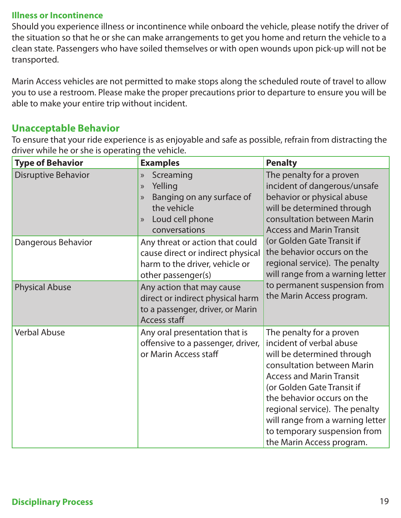#### **Illness or Incontinence**

Should you experience illness or incontinence while onboard the vehicle, please notify the driver of the situation so that he or she can make arrangements to get you home and return the vehicle to a clean state. Passengers who have soiled themselves or with open wounds upon pick-up will not be transported.

Marin Access vehicles are not permitted to make stops along the scheduled route of travel to allow you to use a restroom. Please make the proper precautions prior to departure to ensure you will be able to make your entire trip without incident.

#### **Unacceptable Behavior**

To ensure that your ride experience is as enjoyable and safe as possible, refrain from distracting the driver while he or she is operating the vehicle.

| <b>Type of Behavior</b>    | <b>Examples</b>                                                                                                                                                  | <b>Penalty</b>                                                                                                                                                                                                                                                                                                                                     |
|----------------------------|------------------------------------------------------------------------------------------------------------------------------------------------------------------|----------------------------------------------------------------------------------------------------------------------------------------------------------------------------------------------------------------------------------------------------------------------------------------------------------------------------------------------------|
| <b>Disruptive Behavior</b> | Screaming<br>$\gg$<br>Yelling<br>$\mathcal{Y}$<br>Banging on any surface of<br>$\mathcal{Y}$<br>the vehicle<br>Loud cell phone<br>$\mathcal{Y}$<br>conversations | The penalty for a proven<br>incident of dangerous/unsafe<br>behavior or physical abuse<br>will be determined through<br>consultation between Marin<br><b>Access and Marin Transit</b>                                                                                                                                                              |
| Dangerous Behavior         | Any threat or action that could<br>cause direct or indirect physical<br>harm to the driver, vehicle or<br>other passenger(s)                                     | (or Golden Gate Transit if<br>the behavior occurs on the<br>regional service). The penalty<br>will range from a warning letter<br>to permanent suspension from                                                                                                                                                                                     |
| <b>Physical Abuse</b>      | Any action that may cause<br>direct or indirect physical harm<br>to a passenger, driver, or Marin<br><b>Access staff</b>                                         | the Marin Access program.                                                                                                                                                                                                                                                                                                                          |
| <b>Verbal Abuse</b>        | Any oral presentation that is<br>offensive to a passenger, driver,<br>or Marin Access staff                                                                      | The penalty for a proven<br>incident of verbal abuse<br>will be determined through<br>consultation between Marin<br><b>Access and Marin Transit</b><br>(or Golden Gate Transit if<br>the behavior occurs on the<br>regional service). The penalty<br>will range from a warning letter<br>to temporary suspension from<br>the Marin Access program. |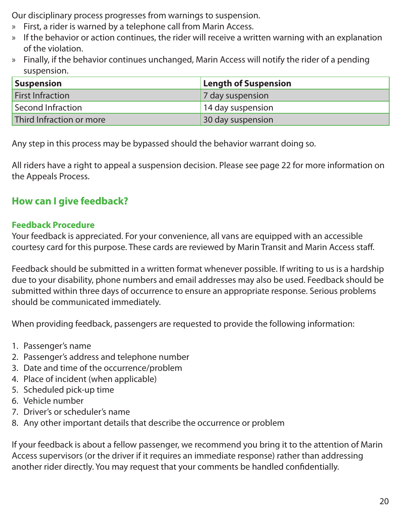Our disciplinary process progresses from warnings to suspension.

- » First, a rider is warned by a telephone call from Marin Access.
- » If the behavior or action continues, the rider will receive a written warning with an explanation of the violation.
- » Finally, if the behavior continues unchanged, Marin Access will notify the rider of a pending suspension.

| Suspension               | <b>Length of Suspension</b> |
|--------------------------|-----------------------------|
| <b>First Infraction</b>  | 7 day suspension            |
| Second Infraction        | 14 day suspension           |
| Third Infraction or more | 30 day suspension           |

Any step in this process may be bypassed should the behavior warrant doing so.

All riders have a right to appeal a suspension decision. Please see page 22 for more information on the Appeals Process.

# **How can I give feedback?**

#### **Feedback Procedure**

Your feedback is appreciated. For your convenience, all vans are equipped with an accessible courtesy card for this purpose. These cards are reviewed by Marin Transit and Marin Access staff.

Feedback should be submitted in a written format whenever possible. If writing to us is a hardship due to your disability, phone numbers and email addresses may also be used. Feedback should be submitted within three days of occurrence to ensure an appropriate response. Serious problems should be communicated immediately.

When providing feedback, passengers are requested to provide the following information:

- 1. Passenger's name
- 2. Passenger's address and telephone number
- 3. Date and time of the occurrence/problem
- 4. Place of incident (when applicable)
- 5. Scheduled pick-up time
- 6. Vehicle number
- 7. Driver's or scheduler's name
- 8. Any other important details that describe the occurrence or problem

If your feedback is about a fellow passenger, we recommend you bring it to the attention of Marin Access supervisors (or the driver if it requires an immediate response) rather than addressing another rider directly. You may request that your comments be handled confidentially.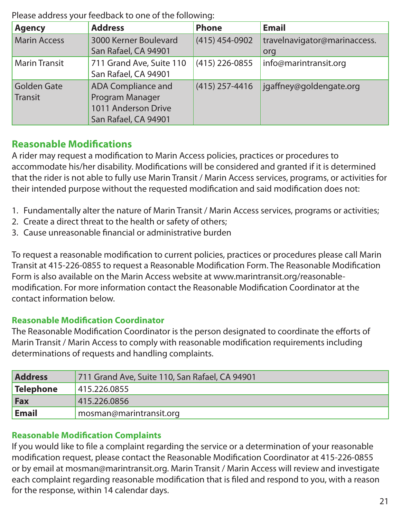Please address your feedback to one of the following:

| <b>Agency</b>        | <b>Address</b>            | <b>Phone</b>     | <b>Email</b>                 |
|----------------------|---------------------------|------------------|------------------------------|
| <b>Marin Access</b>  | 3000 Kerner Boulevard     | $(415)$ 454-0902 | travelnavigator@marinaccess. |
|                      | San Rafael, CA 94901      |                  | org                          |
| <b>Marin Transit</b> | 711 Grand Ave, Suite 110  | $(415)$ 226-0855 | info@marintransit.org        |
|                      | San Rafael, CA 94901      |                  |                              |
| <b>Golden Gate</b>   | <b>ADA Compliance and</b> | $(415)$ 257-4416 | jgaffney@goldengate.org      |
| Transit              | Program Manager           |                  |                              |
|                      | 1011 Anderson Drive       |                  |                              |
|                      | San Rafael, CA 94901      |                  |                              |

# **Reasonable Modifications**

A rider may request a modification to Marin Access policies, practices or procedures to accommodate his/her disability. Modifications will be considered and granted if it is determined that the rider is not able to fully use Marin Transit / Marin Access services, programs, or activities for their intended purpose without the requested modification and said modification does not:

- 1. Fundamentally alter the nature of Marin Transit / Marin Access services, programs or activities;
- 2. Create a direct threat to the health or safety of others;
- 3. Cause unreasonable financial or administrative burden

To request a reasonable modification to current policies, practices or procedures please call Marin Transit at 415-226-0855 to request a Reasonable Modification Form. The Reasonable Modification Form is also available on the Marin Access website at www.marintransit.org/reasonablemodification. For more information contact the Reasonable Modification Coordinator at the contact information below.

#### **Reasonable Modification Coordinator**

The Reasonable Modification Coordinator is the person designated to coordinate the efforts of Marin Transit / Marin Access to comply with reasonable modification requirements including determinations of requests and handling complaints.

| <b>Address</b> | 711 Grand Ave, Suite 110, San Rafael, CA 94901 |  |
|----------------|------------------------------------------------|--|
| Telephone      | 415.226.0855                                   |  |
| Fax            | 415.226.0856                                   |  |
| <b>Email</b>   | mosman@marintransit.org                        |  |

#### **Reasonable Modification Complaints**

If you would like to file a complaint regarding the service or a determination of your reasonable modification request, please contact the Reasonable Modification Coordinator at 415-226-0855 or by email at mosman@marintransit.org. Marin Transit / Marin Access will review and investigate each complaint regarding reasonable modification that is filed and respond to you, with a reason for the response, within 14 calendar days.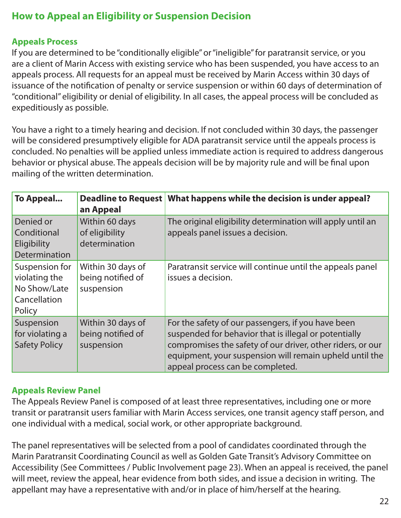# **How to Appeal an Eligibility or Suspension Decision**

#### **Appeals Process**

If you are determined to be "conditionally eligible" or "ineligible" for paratransit service, or you are a client of Marin Access with existing service who has been suspended, you have access to an appeals process. All requests for an appeal must be received by Marin Access within 30 days of issuance of the notification of penalty or service suspension or within 60 days of determination of "conditional" eligibility or denial of eligibility. In all cases, the appeal process will be concluded as expeditiously as possible.

You have a right to a timely hearing and decision. If not concluded within 30 days, the passenger will be considered presumptively eligible for ADA paratransit service until the appeals process is concluded. No penalties will be applied unless immediate action is required to address dangerous behavior or physical abuse. The appeals decision will be by majority rule and will be final upon mailing of the written determination.

| To Appeal                                                                 | an Appeal                                            | Deadline to Request   What happens while the decision is under appeal?                                                                                                                                                                                                   |
|---------------------------------------------------------------------------|------------------------------------------------------|--------------------------------------------------------------------------------------------------------------------------------------------------------------------------------------------------------------------------------------------------------------------------|
| Denied or<br>Conditional<br>Eligibility<br>Determination                  | Within 60 days<br>of eligibility<br>determination    | The original eligibility determination will apply until an<br>appeals panel issues a decision.                                                                                                                                                                           |
| Suspension for<br>violating the<br>No Show/Late<br>Cancellation<br>Policy | Within 30 days of<br>being notified of<br>suspension | Paratransit service will continue until the appeals panel<br>issues a decision.                                                                                                                                                                                          |
| Suspension<br>for violating a<br><b>Safety Policy</b>                     | Within 30 days of<br>being notified of<br>suspension | For the safety of our passengers, if you have been<br>suspended for behavior that is illegal or potentially<br>compromises the safety of our driver, other riders, or our<br>equipment, your suspension will remain upheld until the<br>appeal process can be completed. |

#### **Appeals Review Panel**

The Appeals Review Panel is composed of at least three representatives, including one or more transit or paratransit users familiar with Marin Access services, one transit agency staff person, and one individual with a medical, social work, or other appropriate background.

The panel representatives will be selected from a pool of candidates coordinated through the Marin Paratransit Coordinating Council as well as Golden Gate Transit's Advisory Committee on Accessibility (See Committees / Public Involvement page 23). When an appeal is received, the panel will meet, review the appeal, hear evidence from both sides, and issue a decision in writing. The appellant may have a representative with and/or in place of him/herself at the hearing.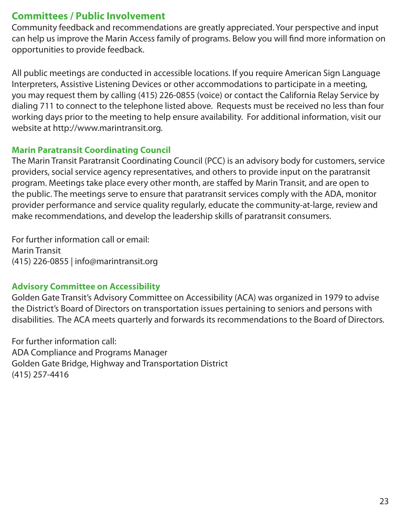# **Committees / Public Involvement**

Community feedback and recommendations are greatly appreciated. Your perspective and input can help us improve the Marin Access family of programs. Below you will find more information on opportunities to provide feedback.

All public meetings are conducted in accessible locations. If you require American Sign Language Interpreters, Assistive Listening Devices or other accommodations to participate in a meeting, you may request them by calling (415) 226-0855 (voice) or contact the California Relay Service by dialing 711 to connect to the telephone listed above. Requests must be received no less than four working days prior to the meeting to help ensure availability. For additional information, visit our website at http://www.marintransit.org.

#### **Marin Paratransit Coordinating Council**

The Marin Transit Paratransit Coordinating Council (PCC) is an advisory body for customers, service providers, social service agency representatives, and others to provide input on the paratransit program. Meetings take place every other month, are staffed by Marin Transit, and are open to the public. The meetings serve to ensure that paratransit services comply with the ADA, monitor provider performance and service quality regularly, educate the community-at-large, review and make recommendations, and develop the leadership skills of paratransit consumers.

For further information call or email: Marin Transit (415) 226-0855 | info@marintransit.org

#### **Advisory Committee on Accessibility**

Golden Gate Transit's Advisory Committee on Accessibility (ACA) was organized in 1979 to advise the District's Board of Directors on transportation issues pertaining to seniors and persons with disabilities. The ACA meets quarterly and forwards its recommendations to the Board of Directors.

For further information call: ADA Compliance and Programs Manager Golden Gate Bridge, Highway and Transportation District (415) 257-4416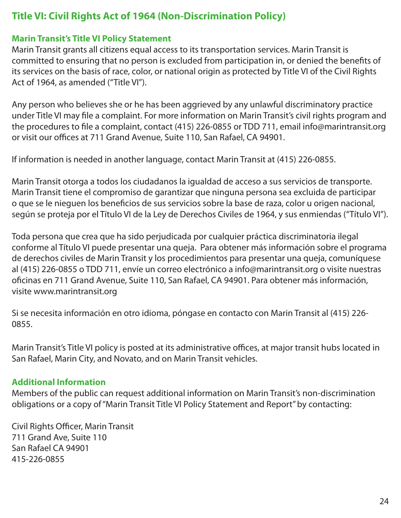# **Title VI: Civil Rights Act of 1964 (Non-Discrimination Policy)**

#### **Marin Transit's Title VI Policy Statement**

Marin Transit grants all citizens equal access to its transportation services. Marin Transit is committed to ensuring that no person is excluded from participation in, or denied the benefits of its services on the basis of race, color, or national origin as protected by Title VI of the Civil Rights Act of 1964, as amended ("Title VI").

Any person who believes she or he has been aggrieved by any unlawful discriminatory practice under Title VI may file a complaint. For more information on Marin Transit's civil rights program and the procedures to file a complaint, contact (415) 226-0855 or TDD 711, email info@marintransit.org or visit our offices at 711 Grand Avenue, Suite 110, San Rafael, CA 94901.

If information is needed in another language, contact Marin Transit at (415) 226-0855.

Marin Transit otorga a todos los ciudadanos la igualdad de acceso a sus servicios de transporte. Marin Transit tiene el compromiso de garantizar que ninguna persona sea excluida de participar o que se le nieguen los beneficios de sus servicios sobre la base de raza, color u origen nacional, según se proteja por el Título VI de la Ley de Derechos Civiles de 1964, y sus enmiendas ("Título VI").

Toda persona que crea que ha sido perjudicada por cualquier práctica discriminatoria ilegal conforme al Título VI puede presentar una queja. Para obtener más información sobre el programa de derechos civiles de Marin Transit y los procedimientos para presentar una queja, comuníquese al (415) 226-0855 o TDD 711, envíe un correo electrónico a info@marintransit.org o visite nuestras oficinas en 711 Grand Avenue, Suite 110, San Rafael, CA 94901. Para obtener más información, visite www.marintransit.org

Si se necesita información en otro idioma, póngase en contacto con Marin Transit al (415) 226- 0855.

Marin Transit's Title VI policy is posted at its administrative offices, at major transit hubs located in San Rafael, Marin City, and Novato, and on Marin Transit vehicles.

#### **Additional Information**

Members of the public can request additional information on Marin Transit's non-discrimination obligations or a copy of "Marin Transit Title VI Policy Statement and Report" by contacting:

Civil Rights Officer, Marin Transit 711 Grand Ave, Suite 110 San Rafael CA 94901 415-226-0855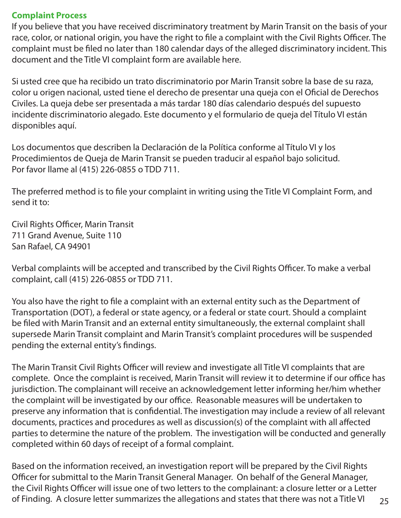#### **Complaint Process**

If you believe that you have received discriminatory treatment by Marin Transit on the basis of your race, color, or national origin, you have the right to file a complaint with the Civil Rights Officer. The complaint must be filed no later than 180 calendar days of the alleged discriminatory incident. This document and the Title VI complaint form are available here.

Si usted cree que ha recibido un trato discriminatorio por Marin Transit sobre la base de su raza, color u origen nacional, usted tiene el derecho de presentar una queja con el Oficial de Derechos Civiles. La queja debe ser presentada a más tardar 180 días calendario después del supuesto incidente discriminatorio alegado. Este documento y el formulario de queja del Título VI están disponibles aquí.

Los documentos que describen la Declaración de la Política conforme al Título VI y los Procedimientos de Queja de Marin Transit se pueden traducir al español bajo solicitud. Por favor llame al (415) 226-0855 o TDD 711.

The preferred method is to file your complaint in writing using the Title VI Complaint Form, and send it to:

Civil Rights Officer, Marin Transit 711 Grand Avenue, Suite 110 San Rafael, CA 94901

Verbal complaints will be accepted and transcribed by the Civil Rights Officer. To make a verbal complaint, call (415) 226-0855 or TDD 711.

You also have the right to file a complaint with an external entity such as the Department of Transportation (DOT), a federal or state agency, or a federal or state court. Should a complaint be filed with Marin Transit and an external entity simultaneously, the external complaint shall supersede Marin Transit complaint and Marin Transit's complaint procedures will be suspended pending the external entity's findings.

The Marin Transit Civil Rights Officer will review and investigate all Title VI complaints that are complete. Once the complaint is received, Marin Transit will review it to determine if our office has jurisdiction. The complainant will receive an acknowledgement letter informing her/him whether the complaint will be investigated by our office. Reasonable measures will be undertaken to preserve any information that is confidential. The investigation may include a review of all relevant documents, practices and procedures as well as discussion(s) of the complaint with all affected parties to determine the nature of the problem. The investigation will be conducted and generally completed within 60 days of receipt of a formal complaint.

25 Based on the information received, an investigation report will be prepared by the Civil Rights Officer for submittal to the Marin Transit General Manager. On behalf of the General Manager, the Civil Rights Officer will issue one of two letters to the complainant: a closure letter or a Letter of Finding. A closure letter summarizes the allegations and states that there was not a Title VI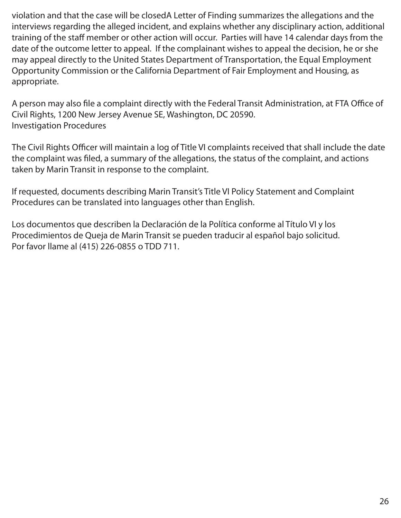violation and that the case will be closedA Letter of Finding summarizes the allegations and the interviews regarding the alleged incident, and explains whether any disciplinary action, additional training of the staff member or other action will occur. Parties will have 14 calendar days from the date of the outcome letter to appeal. If the complainant wishes to appeal the decision, he or she may appeal directly to the United States Department of Transportation, the Equal Employment Opportunity Commission or the California Department of Fair Employment and Housing, as appropriate.

A person may also file a complaint directly with the Federal Transit Administration, at FTA Office of Civil Rights, 1200 New Jersey Avenue SE, Washington, DC 20590. Investigation Procedures

The Civil Rights Officer will maintain a log of Title VI complaints received that shall include the date the complaint was filed, a summary of the allegations, the status of the complaint, and actions taken by Marin Transit in response to the complaint.

If requested, documents describing Marin Transit's Title VI Policy Statement and Complaint Procedures can be translated into languages other than English.

Los documentos que describen la Declaración de la Política conforme al Título VI y los Procedimientos de Queja de Marin Transit se pueden traducir al español bajo solicitud. Por favor llame al (415) 226-0855 o TDD 711.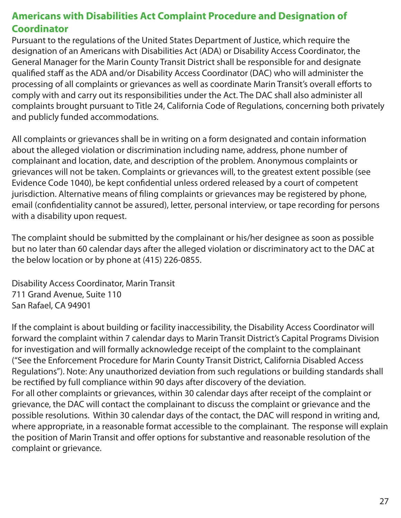# **Americans with Disabilities Act Complaint Procedure and Designation of Coordinator**

Pursuant to the regulations of the United States Department of Justice, which require the designation of an Americans with Disabilities Act (ADA) or Disability Access Coordinator, the General Manager for the Marin County Transit District shall be responsible for and designate qualified staff as the ADA and/or Disability Access Coordinator (DAC) who will administer the processing of all complaints or grievances as well as coordinate Marin Transit's overall efforts to comply with and carry out its responsibilities under the Act. The DAC shall also administer all complaints brought pursuant to Title 24, California Code of Regulations, concerning both privately and publicly funded accommodations.

All complaints or grievances shall be in writing on a form designated and contain information about the alleged violation or discrimination including name, address, phone number of complainant and location, date, and description of the problem. Anonymous complaints or grievances will not be taken. Complaints or grievances will, to the greatest extent possible (see Evidence Code 1040), be kept confidential unless ordered released by a court of competent jurisdiction. Alternative means of filing complaints or grievances may be registered by phone, email (confidentiality cannot be assured), letter, personal interview, or tape recording for persons with a disability upon request.

The complaint should be submitted by the complainant or his/her designee as soon as possible but no later than 60 calendar days after the alleged violation or discriminatory act to the DAC at the below location or by phone at (415) 226-0855.

Disability Access Coordinator, Marin Transit 711 Grand Avenue, Suite 110 San Rafael, CA 94901

If the complaint is about building or facility inaccessibility, the Disability Access Coordinator will forward the complaint within 7 calendar days to Marin Transit District's Capital Programs Division for investigation and will formally acknowledge receipt of the complaint to the complainant ("See the Enforcement Procedure for Marin County Transit District, California Disabled Access Regulations"). Note: Any unauthorized deviation from such regulations or building standards shall be rectified by full compliance within 90 days after discovery of the deviation. For all other complaints or grievances, within 30 calendar days after receipt of the complaint or grievance, the DAC will contact the complainant to discuss the complaint or grievance and the possible resolutions. Within 30 calendar days of the contact, the DAC will respond in writing and, where appropriate, in a reasonable format accessible to the complainant. The response will explain the position of Marin Transit and offer options for substantive and reasonable resolution of the complaint or grievance.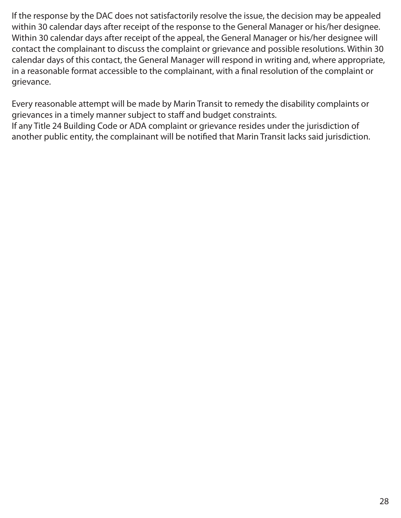If the response by the DAC does not satisfactorily resolve the issue, the decision may be appealed within 30 calendar days after receipt of the response to the General Manager or his/her designee. Within 30 calendar days after receipt of the appeal, the General Manager or his/her designee will contact the complainant to discuss the complaint or grievance and possible resolutions. Within 30 calendar days of this contact, the General Manager will respond in writing and, where appropriate, in a reasonable format accessible to the complainant, with a final resolution of the complaint or grievance.

Every reasonable attempt will be made by Marin Transit to remedy the disability complaints or grievances in a timely manner subject to staff and budget constraints.

If any Title 24 Building Code or ADA complaint or grievance resides under the jurisdiction of another public entity, the complainant will be notified that Marin Transit lacks said jurisdiction.